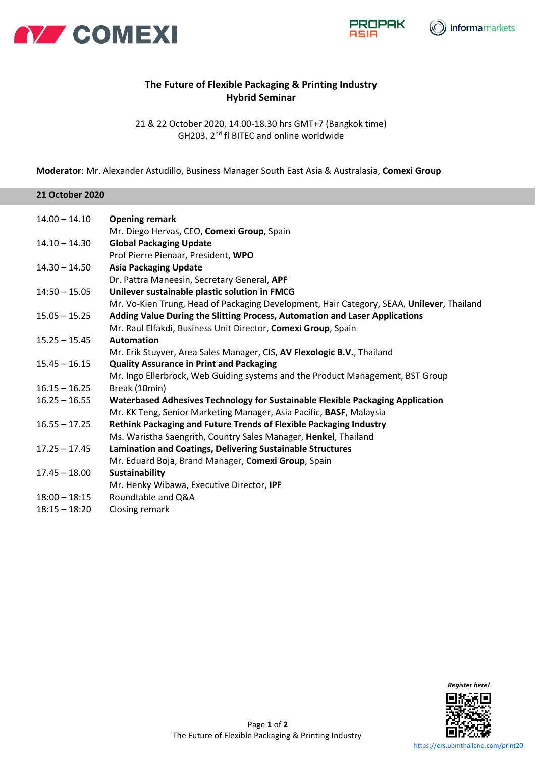





## **The Future of Flexible Packaging & Printing Industry Hybrid Seminar**

21 & 22 October 2020, 14.00-18.30 hrs GMT+7 (Bangkok time) GH203, 2nd fl BITEC and online worldwide

**Moderator**: Mr. Alexander Astudillo, Business Manager South East Asia & Australasia, **Comexi Group**

## **21 October 2020**

| $14.00 - 14.10$ | <b>Opening remark</b>                                                                     |
|-----------------|-------------------------------------------------------------------------------------------|
|                 | Mr. Diego Hervas, CEO, Comexi Group, Spain                                                |
| $14.10 - 14.30$ | <b>Global Packaging Update</b>                                                            |
|                 | Prof Pierre Pienaar, President, WPO                                                       |
| $14.30 - 14.50$ | <b>Asia Packaging Update</b>                                                              |
|                 | Dr. Pattra Maneesin, Secretary General, APF                                               |
| $14:50 - 15.05$ | Unilever sustainable plastic solution in FMCG                                             |
|                 | Mr. Vo-Kien Trung, Head of Packaging Development, Hair Category, SEAA, Unilever, Thailand |
| $15.05 - 15.25$ | Adding Value During the Slitting Process, Automation and Laser Applications               |
|                 | Mr. Raul Elfakdi, Business Unit Director, Comexi Group, Spain                             |
| $15.25 - 15.45$ | <b>Automation</b>                                                                         |
|                 | Mr. Erik Stuyver, Area Sales Manager, CIS, AV Flexologic B.V., Thailand                   |
| $15.45 - 16.15$ | <b>Quality Assurance in Print and Packaging</b>                                           |
|                 | Mr. Ingo Ellerbrock, Web Guiding systems and the Product Management, BST Group            |
| $16.15 - 16.25$ | Break (10min)                                                                             |
| $16.25 - 16.55$ | Waterbased Adhesives Technology for Sustainable Flexible Packaging Application            |
|                 | Mr. KK Teng, Senior Marketing Manager, Asia Pacific, BASF, Malaysia                       |
| $16.55 - 17.25$ | <b>Rethink Packaging and Future Trends of Flexible Packaging Industry</b>                 |
|                 | Ms. Waristha Saengrith, Country Sales Manager, Henkel, Thailand                           |
| $17.25 - 17.45$ | Lamination and Coatings, Delivering Sustainable Structures                                |
|                 | Mr. Eduard Boja, Brand Manager, Comexi Group, Spain                                       |
| $17.45 - 18.00$ | <b>Sustainability</b>                                                                     |
|                 | Mr. Henky Wibawa, Executive Director, IPF                                                 |
| $18:00 - 18:15$ | Roundtable and Q&A                                                                        |
| $18:15 - 18:20$ | Closing remark                                                                            |

Page **1** of **2**

*Register here!*